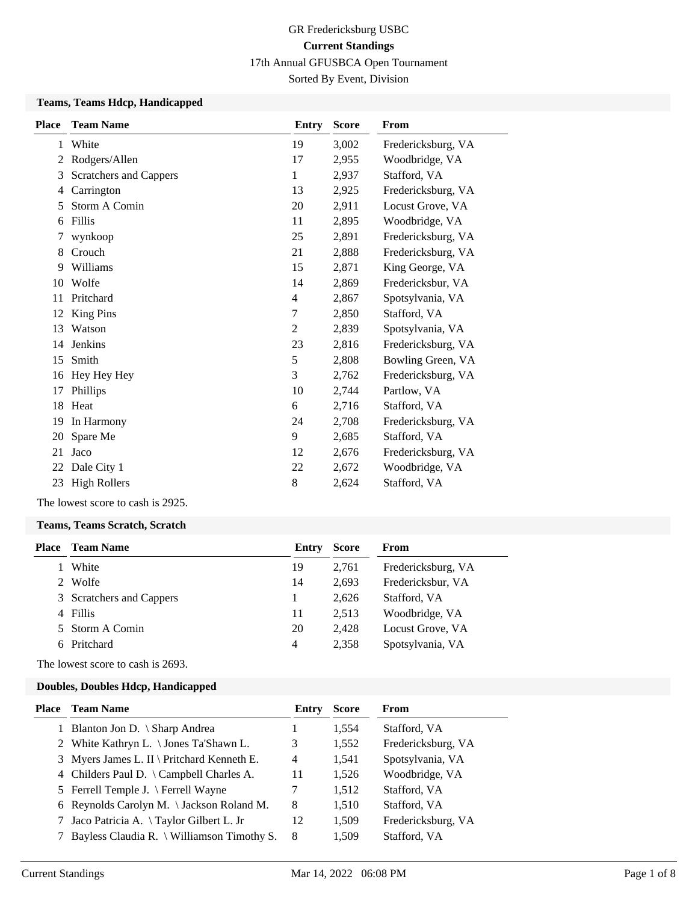Sorted By Event, Division

#### **Teams, Teams Hdcp, Handicapped**

| <b>Place</b> | <b>Team Name</b>       | Entry          | <b>Score</b> | From               |
|--------------|------------------------|----------------|--------------|--------------------|
| 1            | White                  | 19             | 3,002        | Fredericksburg, VA |
| 2            | Rodgers/Allen          | 17             | 2,955        | Woodbridge, VA     |
| 3            | Scratchers and Cappers | 1              | 2,937        | Stafford, VA       |
| 4            | Carrington             | 13             | 2,925        | Fredericksburg, VA |
| 5            | Storm A Comin          | 20             | 2,911        | Locust Grove, VA   |
| 6            | Fillis                 | 11             | 2,895        | Woodbridge, VA     |
| 7            | wynkoop                | 25             | 2,891        | Fredericksburg, VA |
| 8            | Crouch                 | 21             | 2,888        | Fredericksburg, VA |
| 9            | Williams               | 15             | 2,871        | King George, VA    |
| 10           | Wolfe                  | 14             | 2,869        | Fredericksbur, VA  |
| 11           | Pritchard              | $\overline{4}$ | 2,867        | Spotsylvania, VA   |
| 12           | <b>King Pins</b>       | 7              | 2,850        | Stafford, VA       |
| 13           | Watson                 | 2              | 2,839        | Spotsylvania, VA   |
| 14           | <b>Jenkins</b>         | 23             | 2,816        | Fredericksburg, VA |
| 15           | Smith                  | 5              | 2,808        | Bowling Green, VA  |
| 16           | Hey Hey Hey            | 3              | 2,762        | Fredericksburg, VA |
| 17           | Phillips               | 10             | 2,744        | Partlow, VA        |
| 18           | Heat                   | 6              | 2,716        | Stafford, VA       |
| 19           | In Harmony             | 24             | 2,708        | Fredericksburg, VA |
| 20           | Spare Me               | 9              | 2,685        | Stafford, VA       |
| 21           | Jaco                   | 12             | 2,676        | Fredericksburg, VA |
| 22           | Dale City 1            | 22             | 2,672        | Woodbridge, VA     |
| 23           | <b>High Rollers</b>    | 8              | 2,624        | Stafford, VA       |
|              |                        |                |              |                    |

The lowest score to cash is 2925.

#### **Teams, Teams Scratch, Scratch**

| Place | Team Name                | Entry          | <b>Score</b> | From               |
|-------|--------------------------|----------------|--------------|--------------------|
|       | White                    | 19             | 2.761        | Fredericksburg, VA |
|       | Wolfe                    | 14             | 2.693        | Fredericksbur, VA  |
|       | 3 Scratchers and Cappers |                | 2.626        | Stafford, VA       |
|       | 4 Fillis                 | 11             | 2.513        | Woodbridge, VA     |
|       | 5 Storm A Comin          | 20             | 2.428        | Locust Grove, VA   |
|       | Pritchard                | $\overline{4}$ | 2.358        | Spotsylvania, VA   |
|       |                          |                |              |                    |

The lowest score to cash is 2693.

#### **Doubles, Doubles Hdcp, Handicapped**

| Place Team Name                              | Entry | <b>Score</b> | From               |
|----------------------------------------------|-------|--------------|--------------------|
| 1 Blanton Jon D. \ Sharp Andrea              |       | 1,554        | Stafford, VA       |
| 2 White Kathryn L. \ Jones Ta'Shawn L.       | 3     | 1,552        | Fredericksburg, VA |
| 3 Myers James L. II \ Pritchard Kenneth E.   | 4     | 1,541        | Spotsylvania, VA   |
| 4 Childers Paul D. \ Campbell Charles A.     | 11    | 1,526        | Woodbridge, VA     |
| 5 Ferrell Temple J. \ Ferrell Wayne          |       | 1,512        | Stafford, VA       |
| 6 Reynolds Carolyn M. \Jackson Roland M.     | 8     | 1,510        | Stafford, VA       |
| 7 Jaco Patricia A. \Taylor Gilbert L. Jr     | 12    | 1,509        | Fredericksburg, VA |
| 7 Bayless Claudia R. \ Williamson Timothy S. | 8     | 1,509        | Stafford, VA       |
|                                              |       |              |                    |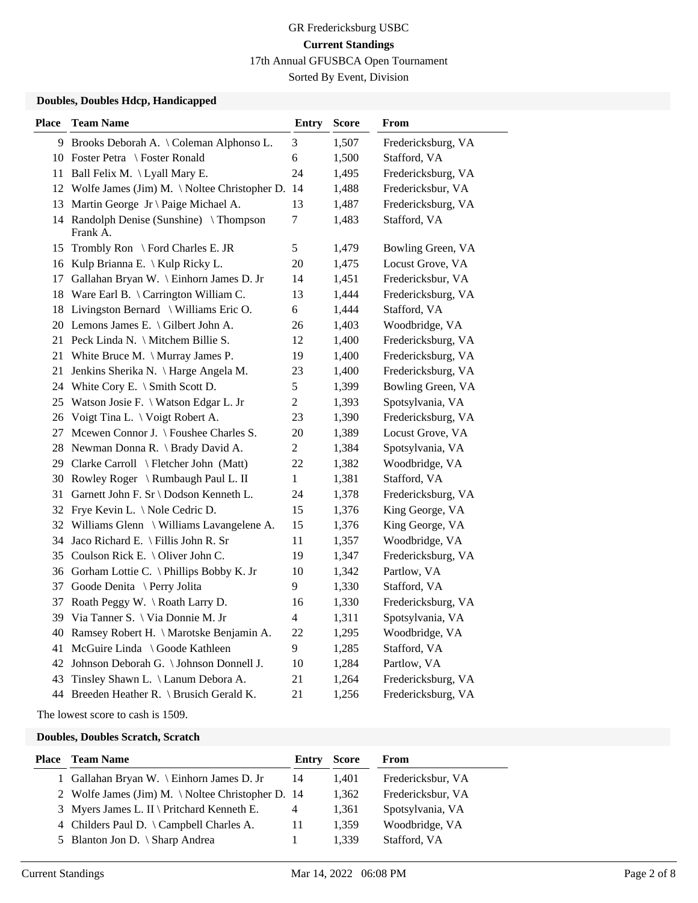Sorted By Event, Division

### **Doubles, Doubles Hdcp, Handicapped**

| <b>Place</b> | <b>Team Name</b>                                    | <b>Entry</b>   | <b>Score</b> | From               |
|--------------|-----------------------------------------------------|----------------|--------------|--------------------|
|              | 9 Brooks Deborah A. \ Coleman Alphonso L.           | 3              | 1,507        | Fredericksburg, VA |
|              | 10 Foster Petra \ Foster Ronald                     | 6              | 1,500        | Stafford, VA       |
|              | 11 Ball Felix M. \Lyall Mary E.                     | 24             | 1,495        | Fredericksburg, VA |
|              | 12 Wolfe James (Jim) M. \ Noltee Christopher D. 14  |                | 1,488        | Fredericksbur, VA  |
|              | 13 Martin George Jr \ Paige Michael A.              | 13             | 1,487        | Fredericksburg, VA |
|              | 14 Randolph Denise (Sunshine) \Thompson<br>Frank A. | 7              | 1,483        | Stafford, VA       |
| 15           | Trombly Ron \ Ford Charles E. JR                    | 5              | 1,479        | Bowling Green, VA  |
| 16           | Kulp Brianna E. \ Kulp Ricky L.                     | 20             | 1,475        | Locust Grove, VA   |
| 17           | Gallahan Bryan W. \ Einhorn James D. Jr             | 14             | 1,451        | Fredericksbur, VA  |
|              | 18 Ware Earl B. \ Carrington William C.             | 13             | 1,444        | Fredericksburg, VA |
|              | 18 Livingston Bernard \ Williams Eric O.            | 6              | 1,444        | Stafford, VA       |
|              | 20 Lemons James E. \ Gilbert John A.                | 26             | 1,403        | Woodbridge, VA     |
|              | 21 Peck Linda N. \ Mitchem Billie S.                | 12             | 1,400        | Fredericksburg, VA |
| 21           | White Bruce M. $\langle$ Murray James P.            | 19             | 1,400        | Fredericksburg, VA |
| 21           | Jenkins Sherika N. \ Harge Angela M.                | 23             | 1,400        | Fredericksburg, VA |
|              | 24 White Cory E. \ Smith Scott D.                   | 5              | 1,399        | Bowling Green, VA  |
|              | 25 Watson Josie F. \ Watson Edgar L. Jr             | $\overline{c}$ | 1,393        | Spotsylvania, VA   |
|              | 26 Voigt Tina L. \ Voigt Robert A.                  | 23             | 1,390        | Fredericksburg, VA |
|              | 27 Mcewen Connor J. \ Foushee Charles S.            | 20             | 1,389        | Locust Grove, VA   |
|              | 28 Newman Donna R. \ Brady David A.                 | $\overline{c}$ | 1,384        | Spotsylvania, VA   |
|              | 29 Clarke Carroll \ Fletcher John (Matt)            | 22             | 1,382        | Woodbridge, VA     |
|              | 30 Rowley Roger \ Rumbaugh Paul L. II               | 1              | 1,381        | Stafford, VA       |
| 31           | Garnett John F. Sr \ Dodson Kenneth L.              | 24             | 1,378        | Fredericksburg, VA |
|              | 32 Frye Kevin L. \Nole Cedric D.                    | 15             | 1,376        | King George, VA    |
|              | 32 Williams Glenn \ Williams Lavangelene A.         | 15             | 1,376        | King George, VA    |
|              | 34 Jaco Richard E. \ Fillis John R. Sr              | 11             | 1,357        | Woodbridge, VA     |
|              | 35 Coulson Rick E. \ Oliver John C.                 | 19             | 1,347        | Fredericksburg, VA |
|              | 36 Gorham Lottie C. \ Phillips Bobby K. Jr          | 10             | 1,342        | Partlow, VA        |
|              | 37 Goode Denita \ Perry Jolita                      | 9              | 1,330        | Stafford, VA       |
| 37           | Roath Peggy W. \ Roath Larry D.                     | 16             | 1,330        | Fredericksburg, VA |
|              | 39 Via Tanner S. \ Via Donnie M. Jr                 | $\overline{4}$ | 1,311        | Spotsylvania, VA   |
| 40           | Ramsey Robert H. \ Marotske Benjamin A.             | 22             | 1,295        | Woodbridge, VA     |
| 41           | McGuire Linda \ Goode Kathleen                      | 9              | 1,285        | Stafford, VA       |
|              | 42 Johnson Deborah G. \ Johnson Donnell J.          | 10             | 1,284        | Partlow, VA        |
|              | 43 Tinsley Shawn L. \ Lanum Debora A.               | 21             | 1,264        | Fredericksburg, VA |
|              | 44 Breeden Heather R. \ Brusich Gerald K.           | 21             | 1,256        | Fredericksburg, VA |

The lowest score to cash is 1509.

### **Doubles, Doubles Scratch, Scratch**

| <b>Place</b> Team Name                            | Entry | <b>Score</b> | From              |
|---------------------------------------------------|-------|--------------|-------------------|
| 1 Gallahan Bryan W. \ Einhorn James D. Jr         | 14    | 1.401        | Fredericksbur, VA |
| 2 Wolfe James (Jim) M. \ Noltee Christopher D. 14 |       | 1,362        | Fredericksbur, VA |
| 3 Myers James L. II \ Pritchard Kenneth E.        | 4     | 1,361        | Spotsylvania, VA  |
| 4 Childers Paul D. $\{ Campbell Charles A.$       | 11    | 1.359        | Woodbridge, VA    |
| 5 Blanton Jon D. $\langle$ Sharp Andrea           |       | 1.339        | Stafford, VA      |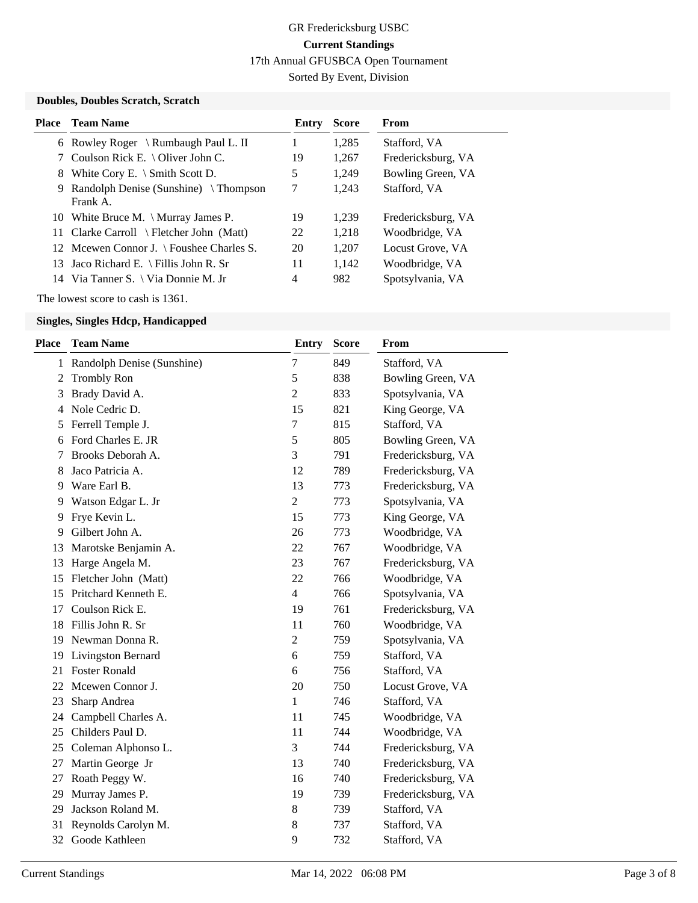Sorted By Event, Division

## **Doubles, Doubles Scratch, Scratch**

| Place | <b>Team Name</b>                                      | Entry | <b>Score</b> | From               |
|-------|-------------------------------------------------------|-------|--------------|--------------------|
|       | 6 Rowley Roger \ Rumbaugh Paul L. II                  |       | 1,285        | Stafford, VA       |
|       | Coulson Rick E. $\setminus$ Oliver John C.            | 19    | 1,267        | Fredericksburg, VA |
| 8     | White Cory E. $\setminus$ Smith Scott D.              | 5     | 1.249        | Bowling Green, VA  |
| 9.    | Randolph Denise (Sunshine) $\{Thompson\}$<br>Frank A. | 7     | 1,243        | Stafford, VA       |
|       | 10 White Bruce M. \ Murray James P.                   | 19    | 1.239        | Fredericksburg, VA |
|       | 11 Clarke Carroll \ Fletcher John (Matt)              | 22    | 1,218        | Woodbridge, VA     |
|       | 12 Meewen Connor J. \ Foushee Charles S.              | 20    | 1.207        | Locust Grove, VA   |
|       | 13 Jaco Richard E. \ Fillis John R. Sr                | 11    | 1.142        | Woodbridge, VA     |
|       | 14 Via Tanner S. \ Via Donnie M. Jr                   | 4     | 982          | Spotsylvania, VA   |

The lowest score to cash is 1361.

## **Singles, Singles Hdcp, Handicapped**

| <b>Place</b> | <b>Team Name</b>             | Entry          | <b>Score</b> | From               |
|--------------|------------------------------|----------------|--------------|--------------------|
|              | 1 Randolph Denise (Sunshine) | $\tau$         | 849          | Stafford, VA       |
| 2            | <b>Trombly Ron</b>           | 5              | 838          | Bowling Green, VA  |
| 3            | Brady David A.               | $\overline{2}$ | 833          | Spotsylvania, VA   |
| 4            | Nole Cedric D.               | 15             | 821          | King George, VA    |
| 5            | Ferrell Temple J.            | 7              | 815          | Stafford, VA       |
| 6            | Ford Charles E. JR           | 5              | 805          | Bowling Green, VA  |
| 7            | Brooks Deborah A.            | 3              | 791          | Fredericksburg, VA |
| 8            | Jaco Patricia A.             | 12             | 789          | Fredericksburg, VA |
| 9            | Ware Earl B.                 | 13             | 773          | Fredericksburg, VA |
| 9            | Watson Edgar L. Jr           | $\overline{c}$ | 773          | Spotsylvania, VA   |
| 9            | Frye Kevin L.                | 15             | 773          | King George, VA    |
| 9            | Gilbert John A.              | 26             | 773          | Woodbridge, VA     |
| 13           | Marotske Benjamin A.         | 22             | 767          | Woodbridge, VA     |
| 13           | Harge Angela M.              | 23             | 767          | Fredericksburg, VA |
| 15           | Fletcher John (Matt)         | 22             | 766          | Woodbridge, VA     |
| 15           | Pritchard Kenneth E.         | $\overline{4}$ | 766          | Spotsylvania, VA   |
| 17           | Coulson Rick E.              | 19             | 761          | Fredericksburg, VA |
| 18           | Fillis John R. Sr            | 11             | 760          | Woodbridge, VA     |
| 19           | Newman Donna R.              | $\overline{2}$ | 759          | Spotsylvania, VA   |
| 19           | <b>Livingston Bernard</b>    | 6              | 759          | Stafford, VA       |
| 21           | <b>Foster Ronald</b>         | 6              | 756          | Stafford, VA       |
| 22           | Mcewen Connor J.             | 20             | 750          | Locust Grove, VA   |
| 23           | Sharp Andrea                 | 1              | 746          | Stafford, VA       |
| 24           | Campbell Charles A.          | 11             | 745          | Woodbridge, VA     |
| 25           | Childers Paul D.             | 11             | 744          | Woodbridge, VA     |
| 25           | Coleman Alphonso L.          | 3              | 744          | Fredericksburg, VA |
| 27           | Martin George Jr             | 13             | 740          | Fredericksburg, VA |
| 27           | Roath Peggy W.               | 16             | 740          | Fredericksburg, VA |
| 29           | Murray James P.              | 19             | 739          | Fredericksburg, VA |
| 29           | Jackson Roland M.            | 8              | 739          | Stafford, VA       |
| 31           | Reynolds Carolyn M.          | 8              | 737          | Stafford, VA       |
| 32           | Goode Kathleen               | 9              | 732          | Stafford, VA       |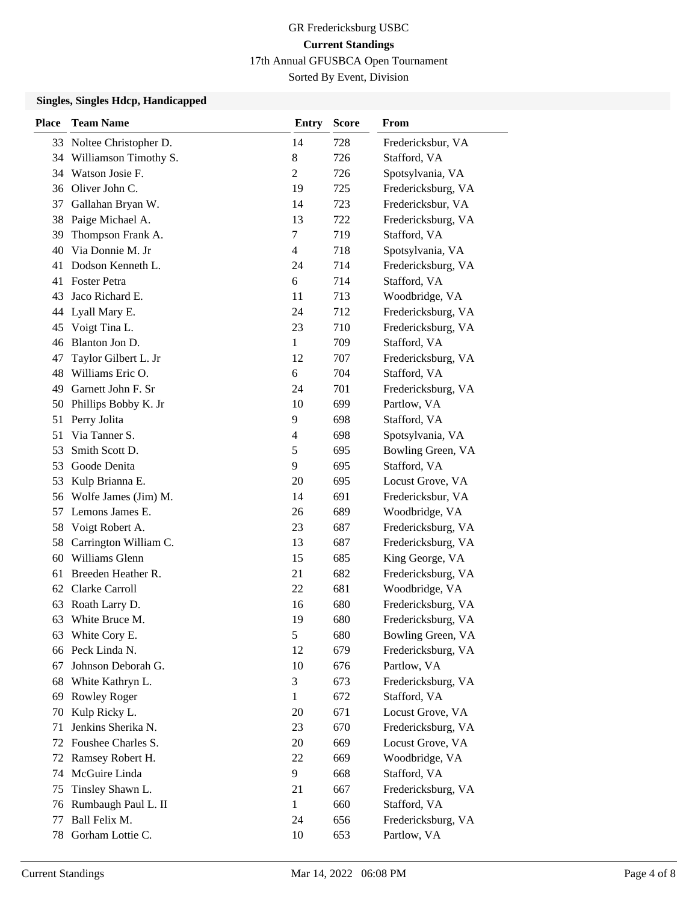Sorted By Event, Division

### **Singles, Singles Hdcp, Handicapped**

| <b>Place</b> | <b>Team Name</b>        | <b>Entry</b>   | <b>Score</b> | From               |
|--------------|-------------------------|----------------|--------------|--------------------|
| 33           | Noltee Christopher D.   | 14             | 728          | Fredericksbur, VA  |
| 34           | Williamson Timothy S.   | 8              | 726          | Stafford, VA       |
| 34           | Watson Josie F.         | $\overline{2}$ | 726          | Spotsylvania, VA   |
|              | 36 Oliver John C.       | 19             | 725          | Fredericksburg, VA |
| 37           | Gallahan Bryan W.       | 14             | 723          | Fredericksbur, VA  |
| 38           | Paige Michael A.        | 13             | 722          | Fredericksburg, VA |
| 39           | Thompson Frank A.       | $\tau$         | 719          | Stafford, VA       |
| 40           | Via Donnie M. Jr        | $\overline{4}$ | 718          | Spotsylvania, VA   |
| 41           | Dodson Kenneth L.       | 24             | 714          | Fredericksburg, VA |
| 41           | <b>Foster Petra</b>     | 6              | 714          | Stafford, VA       |
| 43           | Jaco Richard E.         | 11             | 713          | Woodbridge, VA     |
| 44           | Lyall Mary E.           | 24             | 712          | Fredericksburg, VA |
| 45           | Voigt Tina L.           | 23             | 710          | Fredericksburg, VA |
| 46           | Blanton Jon D.          | $\mathbf{1}$   | 709          | Stafford, VA       |
| 47           | Taylor Gilbert L. Jr    | 12             | 707          | Fredericksburg, VA |
| 48           | Williams Eric O.        | 6              | 704          | Stafford, VA       |
| 49           | Garnett John F. Sr      | 24             | 701          | Fredericksburg, VA |
| 50           | Phillips Bobby K. Jr    | 10             | 699          | Partlow, VA        |
| 51           | Perry Jolita            | 9              | 698          | Stafford, VA       |
| 51           | Via Tanner S.           | 4              | 698          | Spotsylvania, VA   |
| 53           | Smith Scott D.          | 5              | 695          | Bowling Green, VA  |
| 53           | Goode Denita            | 9              | 695          | Stafford, VA       |
| 53           | Kulp Brianna E.         | 20             | 695          | Locust Grove, VA   |
|              | 56 Wolfe James (Jim) M. | 14             | 691          | Fredericksbur, VA  |
| 57           | Lemons James E.         | 26             | 689          | Woodbridge, VA     |
| 58           | Voigt Robert A.         | 23             | 687          | Fredericksburg, VA |
| 58           | Carrington William C.   | 13             | 687          | Fredericksburg, VA |
| 60           | Williams Glenn          | 15             | 685          | King George, VA    |
| 61           | Breeden Heather R.      | 21             | 682          | Fredericksburg, VA |
| 62           | Clarke Carroll          | 22             | 681          | Woodbridge, VA     |
| 63           | Roath Larry D.          | 16             | 680          | Fredericksburg, VA |
| 63           | White Bruce M.          | 19             | 680          | Fredericksburg, VA |
| 63           | White Cory E.           | 5              | 680          | Bowling Green, VA  |
|              | 66 Peck Linda N.        | 12             | 679          | Fredericksburg, VA |
| 67           | Johnson Deborah G.      | 10             | 676          | Partlow, VA        |
| 68           | White Kathryn L.        | 3              | 673          | Fredericksburg, VA |
| 69           | Rowley Roger            | $\mathbf{1}$   | 672          | Stafford, VA       |
| 70           | Kulp Ricky L.           | 20             | 671          | Locust Grove, VA   |
| 71           | Jenkins Sherika N.      | 23             | 670          | Fredericksburg, VA |
| 72           | Foushee Charles S.      | 20             | 669          | Locust Grove, VA   |
| 72           | Ramsey Robert H.        | 22             | 669          | Woodbridge, VA     |
| 74           | McGuire Linda           | 9              | 668          | Stafford, VA       |
| 75           | Tinsley Shawn L.        | 21             | 667          | Fredericksburg, VA |
| 76           | Rumbaugh Paul L. II     | $\mathbf{1}$   | 660          | Stafford, VA       |
| 77           | Ball Felix M.           | 24             | 656          | Fredericksburg, VA |
| 78           | Gorham Lottie C.        | 10             | 653          | Partlow, VA        |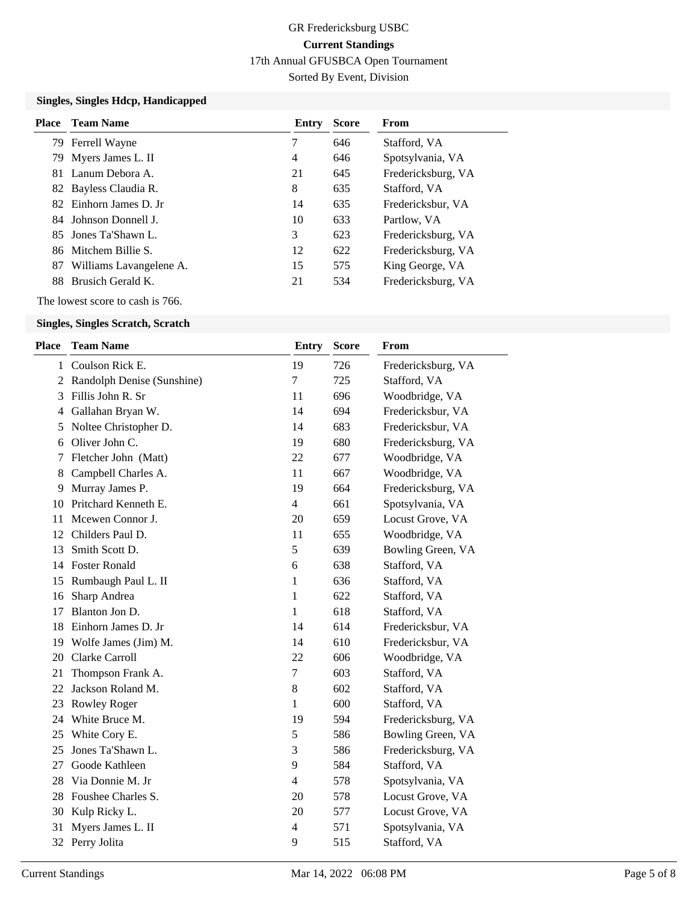# GR Fredericksburg USBC **Current Standings**

17th Annual GFUSBCA Open Tournament

Sorted By Event, Division

## **Singles, Singles Hdcp, Handicapped**

|    | <b>Place</b> Team Name           | Entry | <b>Score</b> | From               |
|----|----------------------------------|-------|--------------|--------------------|
|    | 79 Ferrell Wayne                 | 7     | 646          | Stafford, VA       |
|    | 79 Myers James L. II             | 4     | 646          | Spotsylvania, VA   |
|    | 81 Lanum Debora A.               | 21    | 645          | Fredericksburg, VA |
|    | 82 Bayless Claudia R.            | 8     | 635          | Stafford, VA       |
|    | 82 Einhorn James D. Jr           | 14    | 635          | Fredericksbur, VA  |
|    | 84 Johnson Donnell J.            | 10    | 633          | Partlow, VA        |
|    | 85 Jones Ta'Shawn L.             | 3     | 623          | Fredericksburg, VA |
|    | 86 Mitchem Billie S.             | 12    | 622          | Fredericksburg, VA |
| 87 | Williams Lavangelene A.          | 15    | 575          | King George, VA    |
|    | 88 Brusich Gerald K.             | 21    | 534          | Fredericksburg, VA |
|    | The lowest score to cash is 766. |       |              |                    |

# **Singles, Singles Scratch, Scratch**

| Place        | <b>Team Name</b>           | Entry          | <b>Score</b> | <b>From</b>        |
|--------------|----------------------------|----------------|--------------|--------------------|
| $\mathbf{1}$ | Coulson Rick E.            | 19             | 726          | Fredericksburg, VA |
| 2            | Randolph Denise (Sunshine) | $\overline{7}$ | 725          | Stafford, VA       |
| 3            | Fillis John R. Sr          | 11             | 696          | Woodbridge, VA     |
| 4            | Gallahan Bryan W.          | 14             | 694          | Fredericksbur, VA  |
| 5            | Noltee Christopher D.      | 14             | 683          | Fredericksbur, VA  |
| 6            | Oliver John C.             | 19             | 680          | Fredericksburg, VA |
| 7            | Fletcher John (Matt)       | 22             | 677          | Woodbridge, VA     |
| 8            | Campbell Charles A.        | 11             | 667          | Woodbridge, VA     |
| 9            | Murray James P.            | 19             | 664          | Fredericksburg, VA |
| 10           | Pritchard Kenneth E.       | $\overline{4}$ | 661          | Spotsylvania, VA   |
| 11           | Mcewen Connor J.           | 20             | 659          | Locust Grove, VA   |
| 12           | Childers Paul D.           | 11             | 655          | Woodbridge, VA     |
| 13           | Smith Scott D.             | 5              | 639          | Bowling Green, VA  |
| 14           | <b>Foster Ronald</b>       | 6              | 638          | Stafford, VA       |
| 15           | Rumbaugh Paul L. II        | 1              | 636          | Stafford, VA       |
| 16           | Sharp Andrea               | 1              | 622          | Stafford, VA       |
| 17           | Blanton Jon D.             | 1              | 618          | Stafford, VA       |
| 18           | Einhorn James D. Jr        | 14             | 614          | Fredericksbur, VA  |
| 19           | Wolfe James (Jim) M.       | 14             | 610          | Fredericksbur, VA  |
| 20           | Clarke Carroll             | 22             | 606          | Woodbridge, VA     |
| 21           | Thompson Frank A.          | 7              | 603          | Stafford, VA       |
| 22           | Jackson Roland M.          | $\,8\,$        | 602          | Stafford, VA       |
| 23           | <b>Rowley Roger</b>        | 1              | 600          | Stafford, VA       |
| 24           | White Bruce M.             | 19             | 594          | Fredericksburg, VA |
| 25           | White Cory E.              | $\mathfrak s$  | 586          | Bowling Green, VA  |
| 25           | Jones Ta'Shawn L.          | 3              | 586          | Fredericksburg, VA |
| 27           | Goode Kathleen             | 9              | 584          | Stafford, VA       |
| 28           | Via Donnie M. Jr           | $\overline{4}$ | 578          | Spotsylvania, VA   |
| 28           | Foushee Charles S.         | 20             | 578          | Locust Grove, VA   |
| 30           | Kulp Ricky L.              | 20             | 577          | Locust Grove, VA   |
| 31           | Myers James L. II          | $\overline{4}$ | 571          | Spotsylvania, VA   |
|              | 32 Perry Jolita            | 9              | 515          | Stafford, VA       |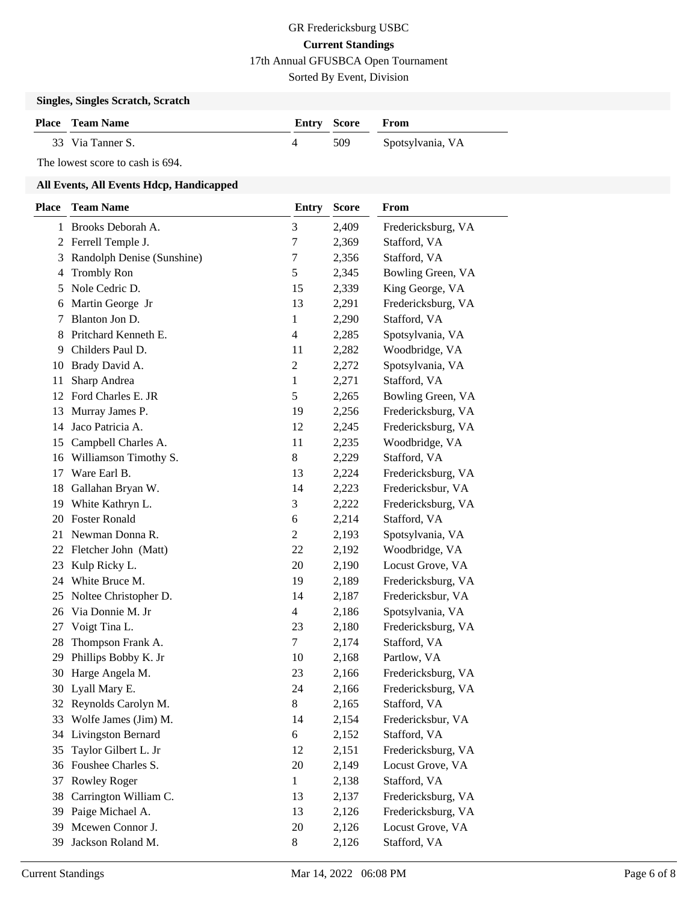Sorted By Event, Division

## **Singles, Singles Scratch, Scratch**

| <b>Place</b> Team Name | <b>Entry Score From</b> |                  |
|------------------------|-------------------------|------------------|
| 33 Via Tanner S.       | 509                     | Spotsylvania, VA |

## The lowest score to cash is 694.

## **All Events, All Events Hdcp, Handicapped**

| <b>Place</b>   | <b>Team Name</b>           | <b>Entry</b>            | <b>Score</b> | From               |
|----------------|----------------------------|-------------------------|--------------|--------------------|
| 1              | Brooks Deborah A.          | 3                       | 2,409        | Fredericksburg, VA |
| $\mathbf{2}^-$ | Ferrell Temple J.          | 7                       | 2,369        | Stafford, VA       |
| 3              | Randolph Denise (Sunshine) | 7                       | 2,356        | Stafford, VA       |
| 4              | <b>Trombly Ron</b>         | 5                       | 2,345        | Bowling Green, VA  |
| 5              | Nole Cedric D.             | 15                      | 2,339        | King George, VA    |
| 6              | Martin George Jr           | 13                      | 2,291        | Fredericksburg, VA |
| 7              | Blanton Jon D.             | 1                       | 2,290        | Stafford, VA       |
| 8              | Pritchard Kenneth E.       | $\overline{\mathbf{4}}$ | 2,285        | Spotsylvania, VA   |
| 9              | Childers Paul D.           | 11                      | 2,282        | Woodbridge, VA     |
| 10             | Brady David A.             | 2                       | 2,272        | Spotsylvania, VA   |
| 11             | Sharp Andrea               | 1                       | 2,271        | Stafford, VA       |
| 12             | Ford Charles E. JR         | 5                       | 2,265        | Bowling Green, VA  |
| 13             | Murray James P.            | 19                      | 2,256        | Fredericksburg, VA |
| 14             | Jaco Patricia A.           | 12                      | 2,245        | Fredericksburg, VA |
| 15             | Campbell Charles A.        | 11                      | 2,235        | Woodbridge, VA     |
| 16             | Williamson Timothy S.      | 8                       | 2,229        | Stafford, VA       |
| 17             | Ware Earl B.               | 13                      | 2,224        | Fredericksburg, VA |
| 18             | Gallahan Bryan W.          | 14                      | 2,223        | Fredericksbur, VA  |
| 19             | White Kathryn L.           | 3                       | 2,222        | Fredericksburg, VA |
| 20             | <b>Foster Ronald</b>       | 6                       | 2,214        | Stafford, VA       |
| 21             | Newman Donna R.            | $\overline{c}$          | 2,193        | Spotsylvania, VA   |
| 22             | Fletcher John (Matt)       | 22                      | 2,192        | Woodbridge, VA     |
| 23             | Kulp Ricky L.              | 20                      | 2,190        | Locust Grove, VA   |
| 24             | White Bruce M.             | 19                      | 2,189        | Fredericksburg, VA |
| 25             | Noltee Christopher D.      | 14                      | 2,187        | Fredericksbur, VA  |
| 26             | Via Donnie M. Jr           | 4                       | 2,186        | Spotsylvania, VA   |
| 27             | Voigt Tina L.              | 23                      | 2,180        | Fredericksburg, VA |
| 28             | Thompson Frank A.          | 7                       | 2,174        | Stafford, VA       |
| 29             | Phillips Bobby K. Jr       | 10                      | 2,168        | Partlow, VA        |
| 30             | Harge Angela M.            | 23                      | 2,166        | Fredericksburg, VA |
| 30             | Lyall Mary E.              | 24                      | 2,166        | Fredericksburg, VA |
|                | 32 Reynolds Carolyn M.     | 8                       | 2,165        | Stafford, VA       |
|                | 33 Wolfe James (Jim) M.    | 14                      | 2,154        | Fredericksbur, VA  |
| 34             | Livingston Bernard         | 6                       | 2,152        | Stafford, VA       |
| 35             | Taylor Gilbert L. Jr       | 12                      | 2,151        | Fredericksburg, VA |
| 36             | Foushee Charles S.         | 20                      | 2,149        | Locust Grove, VA   |
| 37             | Rowley Roger               | $\mathbf{1}$            | 2,138        | Stafford, VA       |
| 38             | Carrington William C.      | 13                      | 2,137        | Fredericksburg, VA |
| 39             | Paige Michael A.           | 13                      | 2,126        | Fredericksburg, VA |
| 39             | Mcewen Connor J.           | 20                      | 2,126        | Locust Grove, VA   |
| 39             | Jackson Roland M.          | 8                       | 2,126        | Stafford, VA       |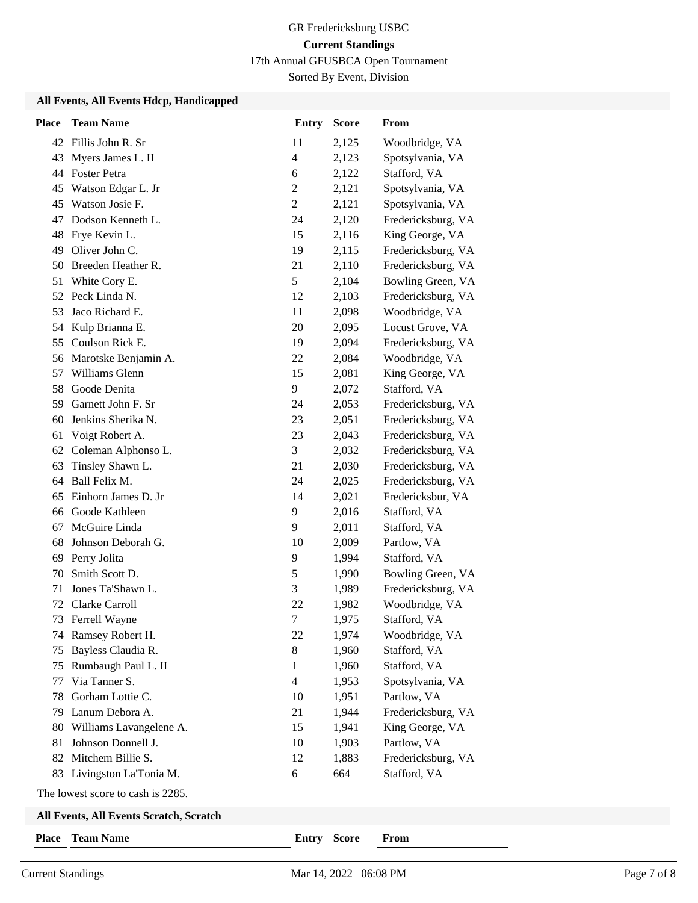Sorted By Event, Division

### **All Events, All Events Hdcp, Handicapped**

| <b>Place</b> | <b>Team Name</b>          | <b>Entry</b>             | <b>Score</b> | From               |
|--------------|---------------------------|--------------------------|--------------|--------------------|
|              | 42 Fillis John R. Sr      | 11                       | 2,125        | Woodbridge, VA     |
| 43           | Myers James L. II         | $\overline{\mathcal{A}}$ | 2,123        | Spotsylvania, VA   |
|              | 44 Foster Petra           | 6                        | 2,122        | Stafford, VA       |
| 45           | Watson Edgar L. Jr        | $\overline{c}$           | 2,121        | Spotsylvania, VA   |
| 45           | Watson Josie F.           | $\mathbf{2}$             | 2,121        | Spotsylvania, VA   |
| 47           | Dodson Kenneth L.         | 24                       | 2,120        | Fredericksburg, VA |
| 48           | Frye Kevin L.             | 15                       | 2,116        | King George, VA    |
| 49           | Oliver John C.            | 19                       | 2,115        | Fredericksburg, VA |
| 50           | Breeden Heather R.        | 21                       | 2,110        | Fredericksburg, VA |
| 51           | White Cory E.             | 5                        | 2,104        | Bowling Green, VA  |
|              | 52 Peck Linda N.          | 12                       | 2,103        | Fredericksburg, VA |
| 53           | Jaco Richard E.           | 11                       | 2,098        | Woodbridge, VA     |
| 54           | Kulp Brianna E.           | 20                       | 2,095        | Locust Grove, VA   |
| 55           | Coulson Rick E.           | 19                       | 2,094        | Fredericksburg, VA |
| 56           | Marotske Benjamin A.      | 22                       | 2,084        | Woodbridge, VA     |
| 57           | Williams Glenn            | 15                       | 2,081        | King George, VA    |
| 58           | Goode Denita              | 9                        | 2,072        | Stafford, VA       |
| 59           | Garnett John F. Sr        | 24                       | 2,053        | Fredericksburg, VA |
| 60           | Jenkins Sherika N.        | 23                       | 2,051        | Fredericksburg, VA |
| 61           | Voigt Robert A.           | 23                       | 2,043        | Fredericksburg, VA |
| 62           | Coleman Alphonso L.       | 3                        | 2,032        | Fredericksburg, VA |
| 63           | Tinsley Shawn L.          | 21                       | 2,030        | Fredericksburg, VA |
| 64           | Ball Felix M.             | 24                       | 2,025        | Fredericksburg, VA |
| 65           | Einhorn James D. Jr       | 14                       | 2,021        | Fredericksbur, VA  |
| 66           | Goode Kathleen            | 9                        | 2,016        | Stafford, VA       |
| 67           | McGuire Linda             | 9                        | 2,011        | Stafford, VA       |
| 68           | Johnson Deborah G.        | 10                       | 2,009        | Partlow, VA        |
| 69           | Perry Jolita              | 9                        | 1,994        | Stafford, VA       |
| 70           | Smith Scott D.            | $\mathfrak s$            | 1,990        | Bowling Green, VA  |
| 71           | Jones Ta'Shawn L.         | 3                        | 1,989        | Fredericksburg, VA |
| 72           | Clarke Carroll            | 22                       | 1,982        | Woodbridge, VA     |
| 73           | Ferrell Wayne             | $\tau$                   | 1,975        | Stafford, VA       |
|              | 74 Ramsey Robert H.       | 22                       | 1,974        | Woodbridge, VA     |
| 75           | Bayless Claudia R.        | $8\,$                    | 1,960        | Stafford, VA       |
| 75           | Rumbaugh Paul L. II       | 1                        | 1,960        | Stafford, VA       |
| 77           | Via Tanner S.             | $\overline{4}$           | 1,953        | Spotsylvania, VA   |
| 78           | Gorham Lottie C.          | 10                       | 1,951        | Partlow, VA        |
| 79           | Lanum Debora A.           | 21                       | 1,944        | Fredericksburg, VA |
| 80           | Williams Lavangelene A.   | 15                       | 1,941        | King George, VA    |
| 81           | Johnson Donnell J.        | 10                       | 1,903        | Partlow, VA        |
| 82           | Mitchem Billie S.         | 12                       | 1,883        | Fredericksburg, VA |
|              | 83 Livingston La'Tonia M. | 6                        | 664          | Stafford, VA       |
|              |                           |                          |              |                    |

The lowest score to cash is 2285.

## **All Events, All Events Scratch, Scratch**

**Place Team Name Entry Score From**